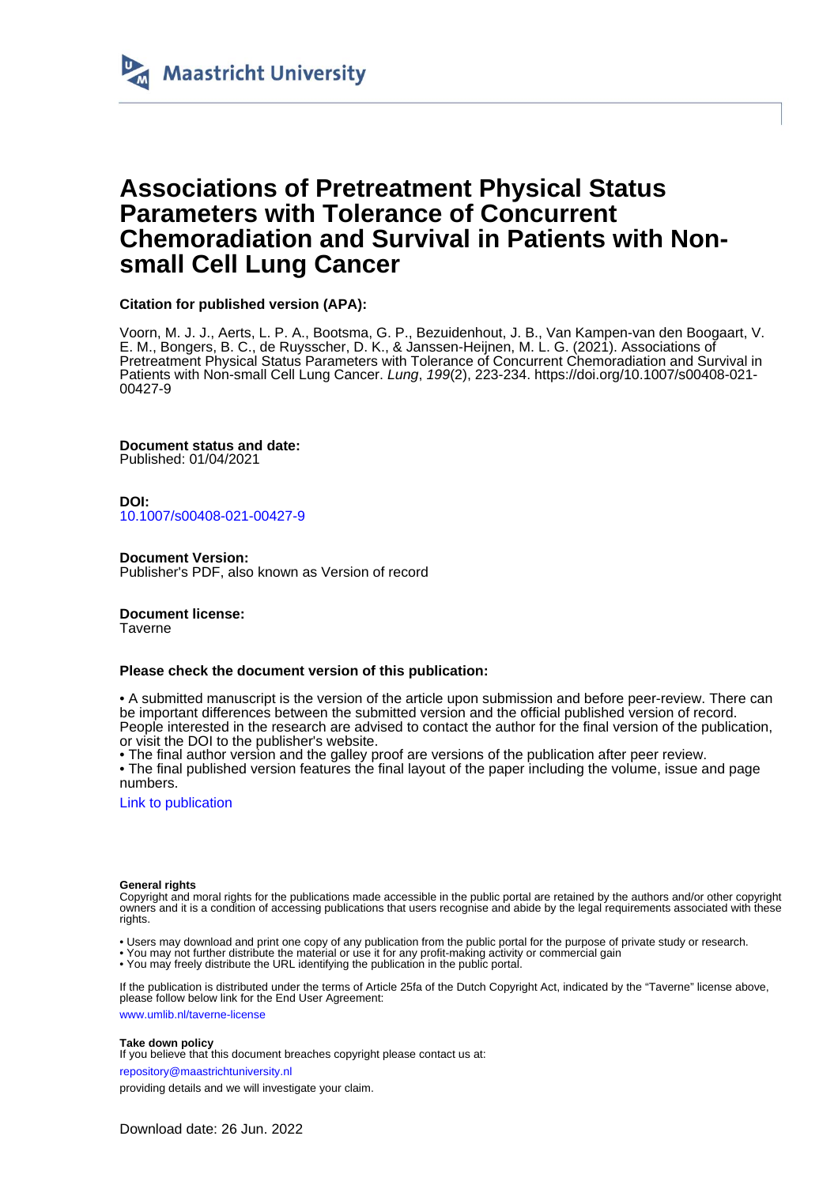

# **Associations of Pretreatment Physical Status Parameters with Tolerance of Concurrent Chemoradiation and Survival in Patients with Nonsmall Cell Lung Cancer**

## **Citation for published version (APA):**

Voorn, M. J. J., Aerts, L. P. A., Bootsma, G. P., Bezuidenhout, J. B., Van Kampen-van den Boogaart, V. E. M., Bongers, B. C., de Ruysscher, D. K., & Janssen-Heijnen, M. L. G. (2021). Associations of Pretreatment Physical Status Parameters with Tolerance of Concurrent Chemoradiation and Survival in Patients with Non-small Cell Lung Cancer. Lung, 199(2), 223-234. [https://doi.org/10.1007/s00408-021-](https://doi.org/10.1007/s00408-021-00427-9) [00427-9](https://doi.org/10.1007/s00408-021-00427-9)

**Document status and date:** Published: 01/04/2021

**DOI:** [10.1007/s00408-021-00427-9](https://doi.org/10.1007/s00408-021-00427-9)

**Document Version:** Publisher's PDF, also known as Version of record

**Document license:**

**Taverne** 

#### **Please check the document version of this publication:**

• A submitted manuscript is the version of the article upon submission and before peer-review. There can be important differences between the submitted version and the official published version of record. People interested in the research are advised to contact the author for the final version of the publication, or visit the DOI to the publisher's website.

• The final author version and the galley proof are versions of the publication after peer review.

• The final published version features the final layout of the paper including the volume, issue and page numbers.

[Link to publication](https://cris.maastrichtuniversity.nl/en/publications/9588a9eb-b60a-436a-bdc9-be75c5fe7784)

#### **General rights**

Copyright and moral rights for the publications made accessible in the public portal are retained by the authors and/or other copyright owners and it is a condition of accessing publications that users recognise and abide by the legal requirements associated with these rights.

• Users may download and print one copy of any publication from the public portal for the purpose of private study or research.

• You may not further distribute the material or use it for any profit-making activity or commercial gain

• You may freely distribute the URL identifying the publication in the public portal.

If the publication is distributed under the terms of Article 25fa of the Dutch Copyright Act, indicated by the "Taverne" license above, please follow below link for the End User Agreement:

www.umlib.nl/taverne-license

#### **Take down policy**

If you believe that this document breaches copyright please contact us at:

repository@maastrichtuniversity.nl

providing details and we will investigate your claim.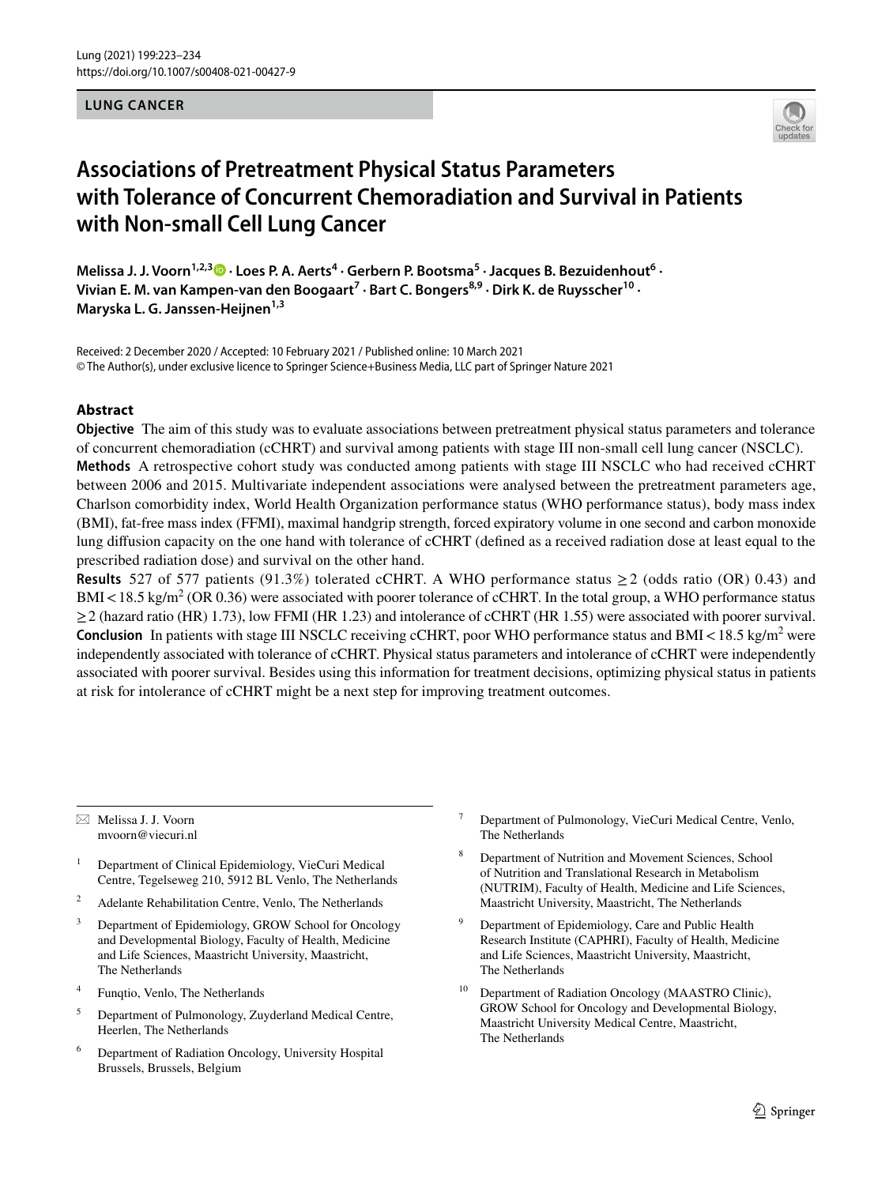#### **LUNG CANCER**



# **Associations of Pretreatment Physical Status Parameters with Tolerance of Concurrent Chemoradiation and Survival in Patients with Non‑small Cell Lung Cancer**

Melissa J. J. Voorn<sup>1,2,[3](http://orcid.org/0000-0003-4564-227X)</sup> D · Loes P. A. Aerts<sup>4</sup> · Gerbern P. Bootsma<sup>5</sup> · Jacques B. Bezuidenhout<sup>6</sup> · Vivian E. M. van Kampen-van den Boogaart<sup>7</sup> · Bart C. Bongers<sup>8,9</sup> · Dirk K. de Ruysscher<sup>10</sup> · **Maryska L. G. Janssen‑Heijnen1,3**

Received: 2 December 2020 / Accepted: 10 February 2021 / Published online: 10 March 2021 © The Author(s), under exclusive licence to Springer Science+Business Media, LLC part of Springer Nature 2021

#### **Abstract**

**Objective** The aim of this study was to evaluate associations between pretreatment physical status parameters and tolerance of concurrent chemoradiation (cCHRT) and survival among patients with stage III non-small cell lung cancer (NSCLC). **Methods** A retrospective cohort study was conducted among patients with stage III NSCLC who had received cCHRT between 2006 and 2015. Multivariate independent associations were analysed between the pretreatment parameters age, Charlson comorbidity index, World Health Organization performance status (WHO performance status), body mass index (BMI), fat-free mass index (FFMI), maximal handgrip strength, forced expiratory volume in one second and carbon monoxide lung difusion capacity on the one hand with tolerance of cCHRT (defned as a received radiation dose at least equal to the prescribed radiation dose) and survival on the other hand.

**Results** 527 of 577 patients (91.3%) tolerated cCHRT. A WHO performance status  $\geq$  2 (odds ratio (OR) 0.43) and BMI < 18.5 kg/m<sup>2</sup> (OR 0.36) were associated with poorer tolerance of cCHRT. In the total group, a WHO performance status  $\geq$  2 (hazard ratio (HR) 1.73), low FFMI (HR 1.23) and intolerance of cCHRT (HR 1.55) were associated with poorer survival. **Conclusion** In patients with stage III NSCLC receiving cCHRT, poor WHO performance status and BMI < 18.5 kg/m<sup>2</sup> were independently associated with tolerance of cCHRT. Physical status parameters and intolerance of cCHRT were independently associated with poorer survival. Besides using this information for treatment decisions, optimizing physical status in patients at risk for intolerance of cCHRT might be a next step for improving treatment outcomes.

 $\boxtimes$  Melissa J. J. Voorn mvoorn@viecuri.nl

- <sup>1</sup> Department of Clinical Epidemiology, VieCuri Medical Centre, Tegelseweg 210, 5912 BL Venlo, The Netherlands
- <sup>2</sup> Adelante Rehabilitation Centre, Venlo, The Netherlands
- <sup>3</sup> Department of Epidemiology, GROW School for Oncology and Developmental Biology, Faculty of Health, Medicine and Life Sciences, Maastricht University, Maastricht, The Netherlands
- <sup>4</sup> Funqtio, Venlo, The Netherlands
- <sup>5</sup> Department of Pulmonology, Zuyderland Medical Centre, Heerlen, The Netherlands
- <sup>6</sup> Department of Radiation Oncology, University Hospital Brussels, Brussels, Belgium
- Department of Pulmonology, VieCuri Medical Centre, Venlo, The Netherlands
- <sup>8</sup> Department of Nutrition and Movement Sciences, School of Nutrition and Translational Research in Metabolism (NUTRIM), Faculty of Health, Medicine and Life Sciences, Maastricht University, Maastricht, The Netherlands
- <sup>9</sup> Department of Epidemiology, Care and Public Health Research Institute (CAPHRI), Faculty of Health, Medicine and Life Sciences, Maastricht University, Maastricht, The Netherlands
- <sup>10</sup> Department of Radiation Oncology (MAASTRO Clinic), GROW School for Oncology and Developmental Biology, Maastricht University Medical Centre, Maastricht, The Netherlands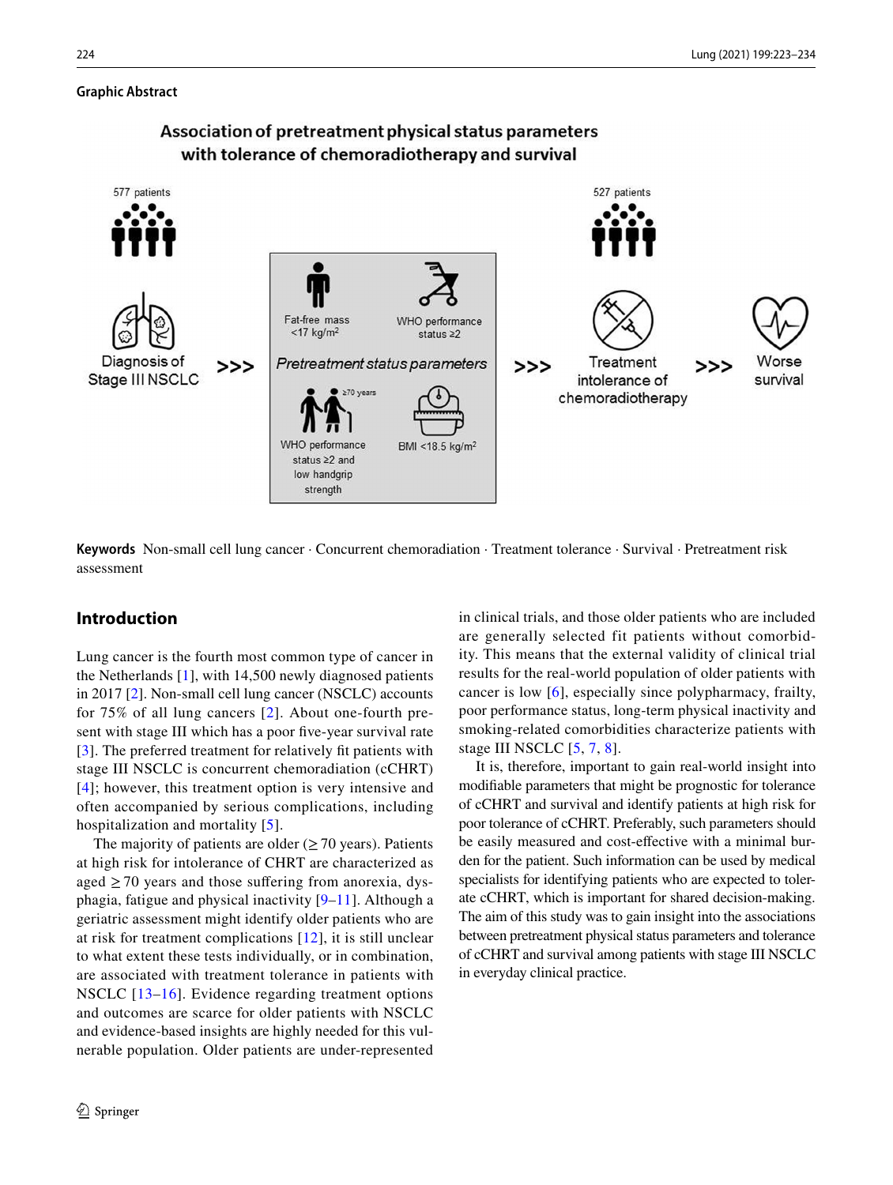### **Graphic Abstract**



# Association of pretreatment physical status parameters with tolerance of chemoradiotherapy and survival

**Keywords** Non-small cell lung cancer · Concurrent chemoradiation · Treatment tolerance · Survival · Pretreatment risk assessment

## **Introduction**

Lung cancer is the fourth most common type of cancer in the Netherlands [\[1\]](#page-10-0), with 14,500 newly diagnosed patients in 2017 [\[2](#page-10-1)]. Non-small cell lung cancer (NSCLC) accounts for 75% of all lung cancers [[2](#page-10-1)]. About one-fourth present with stage III which has a poor five-year survival rate [[3\]](#page-10-2). The preferred treatment for relatively fit patients with stage III NSCLC is concurrent chemoradiation (cCHRT) [[4\]](#page-10-3); however, this treatment option is very intensive and often accompanied by serious complications, including hospitalization and mortality [[5\]](#page-10-4).

The majority of patients are older ( $\geq$  70 years). Patients at high risk for intolerance of CHRT are characterized as aged  $\geq$  70 years and those suffering from anorexia, dysphagia, fatigue and physical inactivity [[9](#page-10-5)[–11\]](#page-10-6). Although a geriatric assessment might identify older patients who are at risk for treatment complications [[12](#page-10-7)], it is still unclear to what extent these tests individually, or in combination, are associated with treatment tolerance in patients with NSCLC [[13](#page-10-8)[–16\]](#page-11-0). Evidence regarding treatment options and outcomes are scarce for older patients with NSCLC and evidence-based insights are highly needed for this vulnerable population. Older patients are under-represented in clinical trials, and those older patients who are included are generally selected fit patients without comorbidity. This means that the external validity of clinical trial results for the real-world population of older patients with cancer is low [\[6](#page-10-9)], especially since polypharmacy, frailty, poor performance status, long-term physical inactivity and smoking-related comorbidities characterize patients with stage III NSCLC [\[5,](#page-10-4) [7](#page-10-10), [8\]](#page-10-11).

It is, therefore, important to gain real-world insight into modifable parameters that might be prognostic for tolerance of cCHRT and survival and identify patients at high risk for poor tolerance of cCHRT. Preferably, such parameters should be easily measured and cost-efective with a minimal burden for the patient. Such information can be used by medical specialists for identifying patients who are expected to tolerate cCHRT, which is important for shared decision-making. The aim of this study was to gain insight into the associations between pretreatment physical status parameters and tolerance of cCHRT and survival among patients with stage III NSCLC in everyday clinical practice.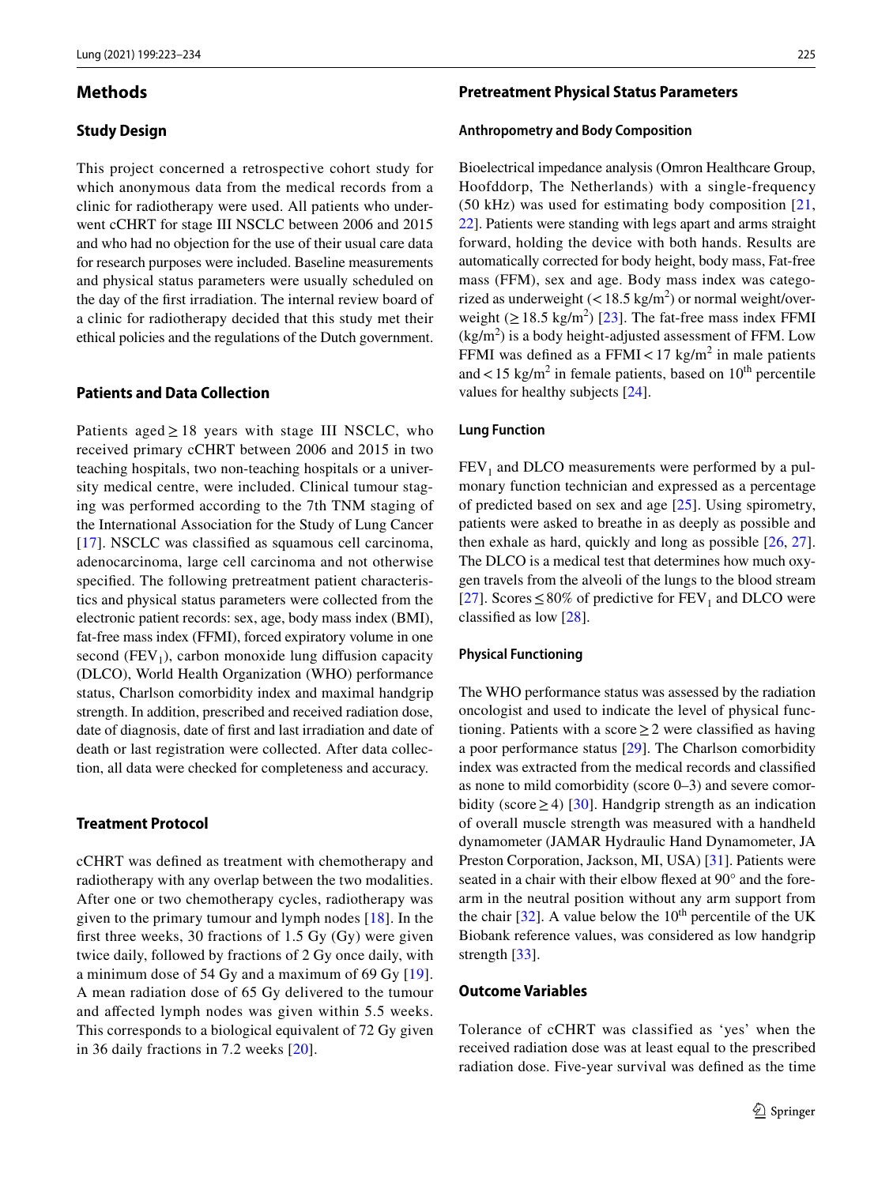#### **Methods**

### **Study Design**

This project concerned a retrospective cohort study for which anonymous data from the medical records from a clinic for radiotherapy were used. All patients who underwent cCHRT for stage III NSCLC between 2006 and 2015 and who had no objection for the use of their usual care data for research purposes were included. Baseline measurements and physical status parameters were usually scheduled on the day of the frst irradiation. The internal review board of a clinic for radiotherapy decided that this study met their ethical policies and the regulations of the Dutch government.

### **Patients and Data Collection**

Patients aged  $\geq$  18 years with stage III NSCLC, who received primary cCHRT between 2006 and 2015 in two teaching hospitals, two non-teaching hospitals or a university medical centre, were included. Clinical tumour staging was performed according to the 7th TNM staging of the International Association for the Study of Lung Cancer [\[17\]](#page-11-1). NSCLC was classified as squamous cell carcinoma, adenocarcinoma, large cell carcinoma and not otherwise specifed. The following pretreatment patient characteristics and physical status parameters were collected from the electronic patient records: sex, age, body mass index (BMI), fat-free mass index (FFMI), forced expiratory volume in one second ( $FEV<sub>1</sub>$ ), carbon monoxide lung diffusion capacity (DLCO), World Health Organization (WHO) performance status, Charlson comorbidity index and maximal handgrip strength. In addition, prescribed and received radiation dose, date of diagnosis, date of frst and last irradiation and date of death or last registration were collected. After data collection, all data were checked for completeness and accuracy.

#### **Treatment Protocol**

cCHRT was defned as treatment with chemotherapy and radiotherapy with any overlap between the two modalities. After one or two chemotherapy cycles, radiotherapy was given to the primary tumour and lymph nodes  $[18]$ . In the frst three weeks, 30 fractions of 1.5 Gy (Gy) were given twice daily, followed by fractions of 2 Gy once daily, with a minimum dose of 54 Gy and a maximum of 69 Gy [[19](#page-11-3)]. A mean radiation dose of 65 Gy delivered to the tumour and afected lymph nodes was given within 5.5 weeks. This corresponds to a biological equivalent of 72 Gy given in 36 daily fractions in 7.2 weeks [\[20\]](#page-11-4).

## **Pretreatment Physical Status Parameters**

#### **Anthropometry and Body Composition**

Bioelectrical impedance analysis (Omron Healthcare Group, Hoofddorp, The Netherlands) with a single-frequency (50 kHz) was used for estimating body composition  $[21, 1]$  $[21, 1]$ [22](#page-11-6)]. Patients were standing with legs apart and arms straight forward, holding the device with both hands. Results are automatically corrected for body height, body mass, Fat-free mass (FFM), sex and age. Body mass index was categorized as underweight  $(< 18.5 \text{ kg/m}^2)$  or normal weight/overweight  $(\geq 18.5 \text{ kg/m}^2)$  [[23\]](#page-11-7). The fat-free mass index FFMI  $(kg/m<sup>2</sup>)$  is a body height-adjusted assessment of FFM. Low FFMI was defined as a FFMI $<$  17 kg/m<sup>2</sup> in male patients and  $<$  15 kg/m<sup>2</sup> in female patients, based on  $10<sup>th</sup>$  percentile values for healthy subjects [[24\]](#page-11-8).

#### **Lung Function**

 $FEV<sub>1</sub>$  and DLCO measurements were performed by a pulmonary function technician and expressed as a percentage of predicted based on sex and age [[25\]](#page-11-9). Using spirometry, patients were asked to breathe in as deeply as possible and then exhale as hard, quickly and long as possible [[26,](#page-11-10) [27](#page-11-11)]. The DLCO is a medical test that determines how much oxygen travels from the alveoli of the lungs to the blood stream [[27\]](#page-11-11). Scores  $\leq 80\%$  of predictive for FEV<sub>1</sub> and DLCO were classifed as low [[28\]](#page-11-12).

#### **Physical Functioning**

The WHO performance status was assessed by the radiation oncologist and used to indicate the level of physical functioning. Patients with a score  $\geq 2$  were classified as having a poor performance status [\[29](#page-11-13)]. The Charlson comorbidity index was extracted from the medical records and classifed as none to mild comorbidity (score 0–3) and severe comorbidity (score  $\geq$  4) [[30\]](#page-11-14). Handgrip strength as an indication of overall muscle strength was measured with a handheld dynamometer (JAMAR Hydraulic Hand Dynamometer, JA Preston Corporation, Jackson, MI, USA) [\[31](#page-11-15)]. Patients were seated in a chair with their elbow fexed at 90° and the forearm in the neutral position without any arm support from the chair [\[32](#page-11-16)]. A value below the  $10<sup>th</sup>$  percentile of the UK Biobank reference values, was considered as low handgrip strength [[33\]](#page-11-17).

#### **Outcome Variables**

Tolerance of cCHRT was classified as 'yes' when the received radiation dose was at least equal to the prescribed radiation dose. Five-year survival was defned as the time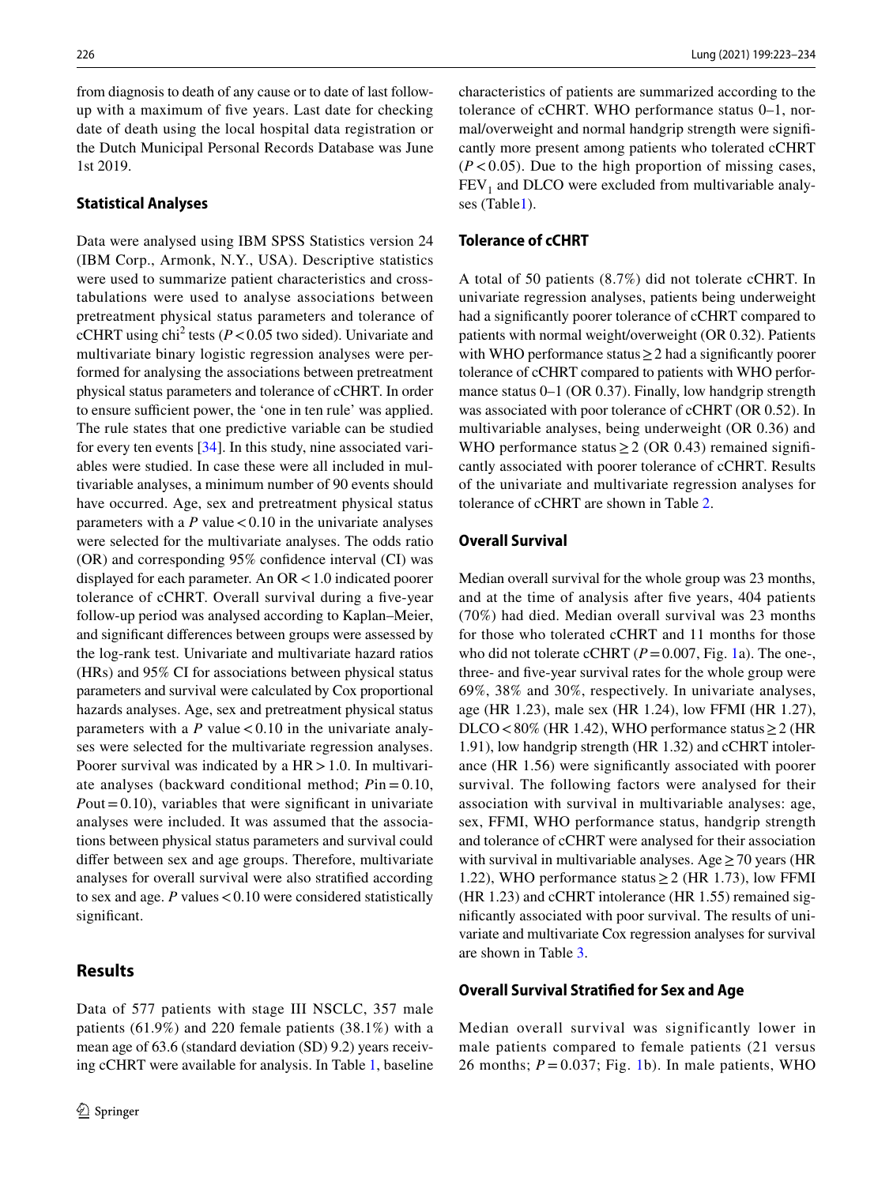from diagnosis to death of any cause or to date of last followup with a maximum of fve years. Last date for checking date of death using the local hospital data registration or the Dutch Municipal Personal Records Database was June 1st 2019.

### **Statistical Analyses**

Data were analysed using IBM SPSS Statistics version 24 (IBM Corp., Armonk, N.Y., USA). Descriptive statistics were used to summarize patient characteristics and crosstabulations were used to analyse associations between pretreatment physical status parameters and tolerance of cCHRT using chi<sup>2</sup> tests ( $P < 0.05$  two sided). Univariate and multivariate binary logistic regression analyses were performed for analysing the associations between pretreatment physical status parameters and tolerance of cCHRT. In order to ensure sufficient power, the 'one in ten rule' was applied. The rule states that one predictive variable can be studied for every ten events [[34\]](#page-11-18). In this study, nine associated variables were studied. In case these were all included in multivariable analyses, a minimum number of 90 events should have occurred. Age, sex and pretreatment physical status parameters with a  $P$  value < 0.10 in the univariate analyses were selected for the multivariate analyses. The odds ratio (OR) and corresponding 95% confdence interval (CI) was displayed for each parameter. An OR<1.0 indicated poorer tolerance of cCHRT. Overall survival during a five-year follow-up period was analysed according to Kaplan–Meier, and signifcant diferences between groups were assessed by the log-rank test. Univariate and multivariate hazard ratios (HRs) and 95% CI for associations between physical status parameters and survival were calculated by Cox proportional hazards analyses. Age, sex and pretreatment physical status parameters with a  $P$  value  $< 0.10$  in the univariate analyses were selected for the multivariate regression analyses. Poorer survival was indicated by a  $HR > 1.0$ . In multivariate analyses (backward conditional method; *P*in = 0.10,  $P_{\text{out}} = 0.10$ , variables that were significant in univariate analyses were included. It was assumed that the associations between physical status parameters and survival could difer between sex and age groups. Therefore, multivariate analyses for overall survival were also stratifed according to sex and age.  $P$  values < 0.10 were considered statistically significant.

## **Results**

Data of 577 patients with stage III NSCLC, 357 male patients (61.9%) and 220 female patients (38.1%) with a mean age of 63.6 (standard deviation (SD) 9.2) years receiving cCHRT were available for analysis. In Table [1](#page-5-0), baseline

characteristics of patients are summarized according to the tolerance of cCHRT. WHO performance status 0–1, normal/overweight and normal handgrip strength were signifcantly more present among patients who tolerated cCHRT  $(P<0.05)$ . Due to the high proportion of missing cases,  $FEV<sub>1</sub>$  and DLCO were excluded from multivariable analyses (Table[1](#page-5-0)).

### **Tolerance of cCHRT**

A total of 50 patients (8.7%) did not tolerate cCHRT. In univariate regression analyses, patients being underweight had a signifcantly poorer tolerance of cCHRT compared to patients with normal weight/overweight (OR 0.32). Patients with WHO performance status  $\geq 2$  had a significantly poorer tolerance of cCHRT compared to patients with WHO performance status 0–1 (OR 0.37). Finally, low handgrip strength was associated with poor tolerance of cCHRT (OR 0.52). In multivariable analyses, being underweight (OR 0.36) and WHO performance status  $\geq$  2 (OR 0.43) remained significantly associated with poorer tolerance of cCHRT. Results of the univariate and multivariate regression analyses for tolerance of cCHRT are shown in Table [2.](#page-6-0)

#### **Overall Survival**

Median overall survival for the whole group was 23 months, and at the time of analysis after fve years, 404 patients (70%) had died. Median overall survival was 23 months for those who tolerated cCHRT and 11 months for those who did not tolerate cCHRT  $(P=0.007, Fig. 1a)$  $(P=0.007, Fig. 1a)$  $(P=0.007, Fig. 1a)$ . The one-, three- and fve-year survival rates for the whole group were 69%, 38% and 30%, respectively. In univariate analyses, age (HR 1.23), male sex (HR 1.24), low FFMI (HR 1.27), DLCO <80% (HR 1.42), WHO performance status  $\geq$  2 (HR 1.91), low handgrip strength (HR 1.32) and cCHRT intolerance (HR 1.56) were signifcantly associated with poorer survival. The following factors were analysed for their association with survival in multivariable analyses: age, sex, FFMI, WHO performance status, handgrip strength and tolerance of cCHRT were analysed for their association with survival in multivariable analyses. Age  $\geq$  70 years (HR 1.22), WHO performance status  $\geq$  2 (HR 1.73), low FFMI (HR 1.23) and cCHRT intolerance (HR 1.55) remained signifcantly associated with poor survival. The results of univariate and multivariate Cox regression analyses for survival are shown in Table [3.](#page-8-0)

#### **Overall Survival Stratifed for Sex and Age**

Median overall survival was significantly lower in male patients compared to female patients (21 versus 26 months;  $P = 0.037$ ; Fig. [1b](#page-7-0)). In male patients, WHO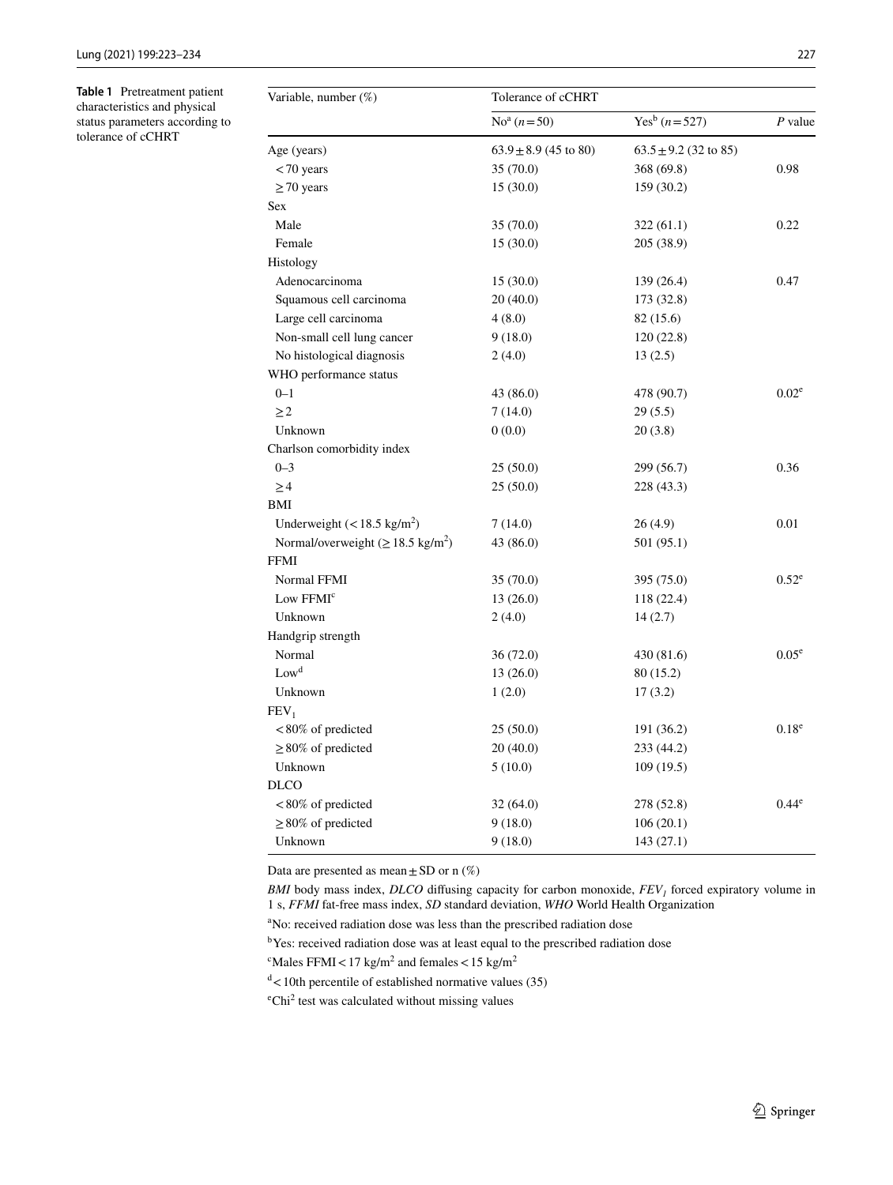<span id="page-5-0"></span>**Table 1** Pretreatment patient characteristics and physical status parameters according to tolerance of cCHRT

| Variable, number (%)                                | Tolerance of cCHRT        |                                         |                   |  |  |  |  |
|-----------------------------------------------------|---------------------------|-----------------------------------------|-------------------|--|--|--|--|
|                                                     | $Noa (n=50)$              | Yes <sup>b</sup> $(n = 527)$<br>P value |                   |  |  |  |  |
| Age (years)                                         | $63.9 \pm 8.9$ (45 to 80) | $63.5 \pm 9.2$ (32 to 85)               |                   |  |  |  |  |
| $<$ 70 years                                        | 35(70.0)                  | 368 (69.8)                              | 0.98              |  |  |  |  |
| $\geq$ 70 years                                     | 15 (30.0)                 | 159 (30.2)                              |                   |  |  |  |  |
| Sex                                                 |                           |                                         |                   |  |  |  |  |
| Male                                                | 35(70.0)                  | 322 (61.1)                              | 0.22              |  |  |  |  |
| Female                                              | 15(30.0)                  | 205 (38.9)                              |                   |  |  |  |  |
| Histology                                           |                           |                                         |                   |  |  |  |  |
| Adenocarcinoma                                      | 15(30.0)                  | 139(26.4)                               | 0.47              |  |  |  |  |
| Squamous cell carcinoma                             | 20(40.0)                  | 173 (32.8)                              |                   |  |  |  |  |
| Large cell carcinoma                                | 4(8.0)                    | 82 (15.6)                               |                   |  |  |  |  |
| Non-small cell lung cancer                          | 9(18.0)                   | 120(22.8)                               |                   |  |  |  |  |
| No histological diagnosis                           | 2(4.0)                    | 13(2.5)                                 |                   |  |  |  |  |
| WHO performance status                              |                           |                                         |                   |  |  |  |  |
| $0 - 1$                                             | 43 (86.0)                 | 478 (90.7)                              | 0.02 <sup>e</sup> |  |  |  |  |
| $\geq$ 2                                            | 7(14.0)                   | 29(5.5)                                 |                   |  |  |  |  |
| Unknown                                             | 0(0.0)                    | 20(3.8)                                 |                   |  |  |  |  |
| Charlson comorbidity index                          |                           |                                         |                   |  |  |  |  |
| $0 - 3$                                             | 25(50.0)                  | 299 (56.7)                              | 0.36              |  |  |  |  |
| $\geq\!4$                                           | 25(50.0)                  | 228 (43.3)                              |                   |  |  |  |  |
| BMI                                                 |                           |                                         |                   |  |  |  |  |
| Underweight $(< 18.5 \text{ kg/m}^2)$               | 7(14.0)                   | 26(4.9)                                 | 0.01              |  |  |  |  |
| Normal/overweight ( $\geq$ 18.5 kg/m <sup>2</sup> ) | 43 (86.0)                 | 501 (95.1)                              |                   |  |  |  |  |
| <b>FFMI</b>                                         |                           |                                         |                   |  |  |  |  |
| Normal FFMI                                         | 35(70.0)                  | 395 (75.0)                              | $0.52^e$          |  |  |  |  |
| Low FFMI <sup>c</sup>                               | 13(26.0)                  | 118 (22.4)                              |                   |  |  |  |  |
| Unknown                                             | 2(4.0)                    | 14(2.7)                                 |                   |  |  |  |  |
| Handgrip strength                                   |                           |                                         |                   |  |  |  |  |
| Normal                                              | 36(72.0)                  | 430 (81.6)                              | 0.05 <sup>e</sup> |  |  |  |  |
| Low <sup>d</sup>                                    | 13(26.0)                  | 80 (15.2)                               |                   |  |  |  |  |
| Unknown                                             | 1(2.0)                    | 17(3.2)                                 |                   |  |  |  |  |
| $FEV_1$                                             |                           |                                         |                   |  |  |  |  |
| $< 80\%$ of predicted                               | 25(50.0)                  | 191 (36.2)                              | 0.18 <sup>e</sup> |  |  |  |  |
| $\geq$ 80% of predicted                             | 20(40.0)                  | 233 (44.2)                              |                   |  |  |  |  |
| Unknown                                             | 5(10.0)                   | 109(19.5)                               |                   |  |  |  |  |
| <b>DLCO</b>                                         |                           |                                         |                   |  |  |  |  |
| $< 80\%$ of predicted                               | 32(64.0)                  | 278 (52.8)                              | $0.44^e$          |  |  |  |  |
| $\geq$ 80% of predicted                             | 9(18.0)                   | 106(20.1)                               |                   |  |  |  |  |
| Unknown                                             | 9(18.0)                   | 143(27.1)                               |                   |  |  |  |  |

Data are presented as mean  $\pm$  SD or n (%)

*BMI* body mass index, *DLCO* diffusing capacity for carbon monoxide,  $FEV<sub>1</sub>$  forced expiratory volume in 1 s, *FFMI* fat-free mass index, *SD* standard deviation, *WHO* World Health Organization

a No: received radiation dose was less than the prescribed radiation dose

<sup>b</sup>Yes: received radiation dose was at least equal to the prescribed radiation dose

<sup>c</sup>Males FFMI <  $17 \text{ kg/m}^2$  and females <  $15 \text{ kg/m}^2$ 

 $d$ <10th percentile of established normative values (35)

 $\mathrm{e}^{\mathrm{e}}$ Chi<sup>2</sup> test was calculated without missing values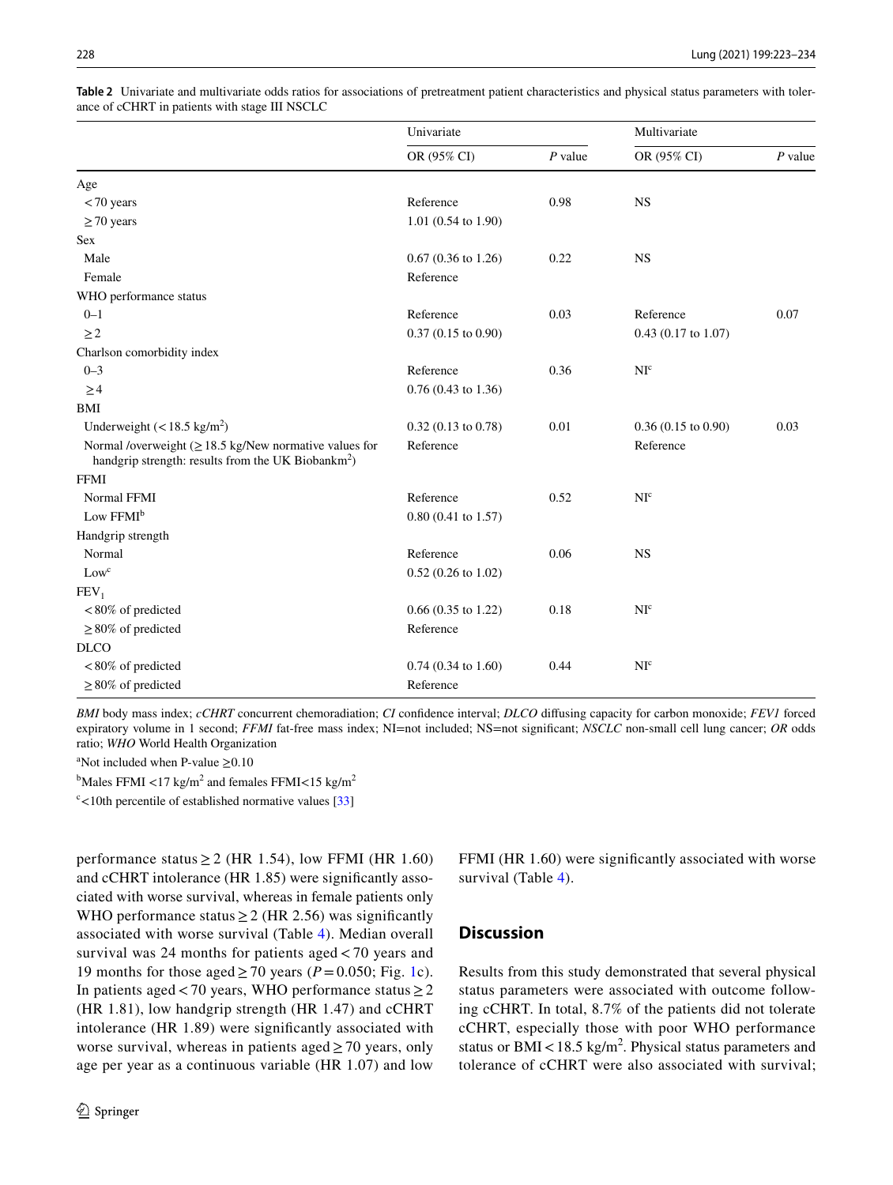|                                                                                                                                       | Univariate                    |           | Multivariate                        |           |  |
|---------------------------------------------------------------------------------------------------------------------------------------|-------------------------------|-----------|-------------------------------------|-----------|--|
|                                                                                                                                       | OR (95% CI)                   | $P$ value | OR (95% CI)                         | $P$ value |  |
| Age                                                                                                                                   |                               |           |                                     |           |  |
| $<$ 70 years                                                                                                                          | Reference                     | 0.98      | <b>NS</b>                           |           |  |
| $\geq$ 70 years                                                                                                                       | 1.01 (0.54 to 1.90)           |           |                                     |           |  |
| Sex                                                                                                                                   |                               |           |                                     |           |  |
| Male                                                                                                                                  | $0.67$ $(0.36$ to $1.26)$     | 0.22      | <b>NS</b>                           |           |  |
| Female                                                                                                                                | Reference                     |           |                                     |           |  |
| WHO performance status                                                                                                                |                               |           |                                     |           |  |
| $0 - 1$                                                                                                                               | Reference                     | 0.03      | Reference                           | 0.07      |  |
| $\geq$ 2                                                                                                                              | $0.37(0.15 \text{ to } 0.90)$ |           | 0.43 (0.17 to 1.07)                 |           |  |
| Charlson comorbidity index                                                                                                            |                               |           |                                     |           |  |
| $0 - 3$                                                                                                                               | Reference                     | 0.36      | $\mathbf{N}\mathbf{I}^{\mathrm{c}}$ |           |  |
| $\geq 4$                                                                                                                              | $0.76$ (0.43 to 1.36)         |           |                                     |           |  |
| BMI                                                                                                                                   |                               |           |                                     |           |  |
| Underweight $(< 18.5 \text{ kg/m}^2)$                                                                                                 | $0.32$ (0.13 to 0.78)         | 0.01      | $0.36(0.15 \text{ to } 0.90)$       | 0.03      |  |
| Normal /overweight $(\geq 18.5 \text{ kg/New normative values for}$<br>handgrip strength: results from the UK Biobankm <sup>2</sup> ) | Reference                     |           | Reference                           |           |  |
| <b>FFMI</b>                                                                                                                           |                               |           |                                     |           |  |
| Normal FFMI                                                                                                                           | Reference                     | 0.52      | NI <sup>c</sup>                     |           |  |
| Low FFMI <sup>b</sup>                                                                                                                 | $0.80$ (0.41 to 1.57)         |           |                                     |           |  |
| Handgrip strength                                                                                                                     |                               |           |                                     |           |  |
| Normal                                                                                                                                | Reference                     | 0.06      | <b>NS</b>                           |           |  |
| Low <sup>c</sup>                                                                                                                      | $0.52$ (0.26 to 1.02)         |           |                                     |           |  |
| FEV <sub>1</sub>                                                                                                                      |                               |           |                                     |           |  |
| $< 80\%$ of predicted                                                                                                                 | $0.66$ $(0.35$ to 1.22)       | 0.18      | NI <sup>c</sup>                     |           |  |
| $\geq$ 80% of predicted                                                                                                               | Reference                     |           |                                     |           |  |
| <b>DLCO</b>                                                                                                                           |                               |           |                                     |           |  |
| $< 80\%$ of predicted                                                                                                                 | $0.74$ (0.34 to 1.60)         | 0.44      | NI <sup>c</sup>                     |           |  |
| $\geq$ 80% of predicted                                                                                                               | Reference                     |           |                                     |           |  |

<span id="page-6-0"></span>**Table 2** Univariate and multivariate odds ratios for associations of pretreatment patient characteristics and physical status parameters with tolerance of cCHRT in patients with stage III NSCLC

*BMI* body mass index; *cCHRT* concurrent chemoradiation; *CI* confdence interval; *DLCO* difusing capacity for carbon monoxide; *FEV1* forced expiratory volume in 1 second; *FFMI* fat-free mass index; NI=not included; NS=not signifcant; *NSCLC* non-small cell lung cancer; *OR* odds ratio; *WHO* World Health Organization

<sup>a</sup>Not included when P-value  $\geq 0.10$ 

<sup>b</sup>Males FFMI <17 kg/m<sup>2</sup> and females FFMI<15 kg/m<sup>2</sup>

 $c$ <10th percentile of established normative values [[33](#page-11-17)]

performance status  $\geq$  2 (HR 1.54), low FFMI (HR 1.60) and cCHRT intolerance (HR 1.85) were signifcantly associated with worse survival, whereas in female patients only WHO performance status  $\geq$  2 (HR 2.56) was significantly associated with worse survival (Table [4](#page-9-0)). Median overall survival was 24 months for patients aged< 70 years and [1](#page-7-0)9 months for those aged  $\geq$  70 years (*P* = 0.050; Fig. 1c). In patients aged <70 years, WHO performance status ≥ 2 (HR 1.81), low handgrip strength (HR 1.47) and cCHRT intolerance (HR 1.89) were signifcantly associated with worse survival, whereas in patients aged  $\geq$  70 years, only age per year as a continuous variable (HR 1.07) and low

FFMI (HR 1.60) were significantly associated with worse survival (Table [4](#page-9-0)).

## **Discussion**

Results from this study demonstrated that several physical status parameters were associated with outcome following cCHRT. In total, 8.7% of the patients did not tolerate cCHRT, especially those with poor WHO performance status or BMI $<$ 18.5 kg/m<sup>2</sup>. Physical status parameters and tolerance of cCHRT were also associated with survival;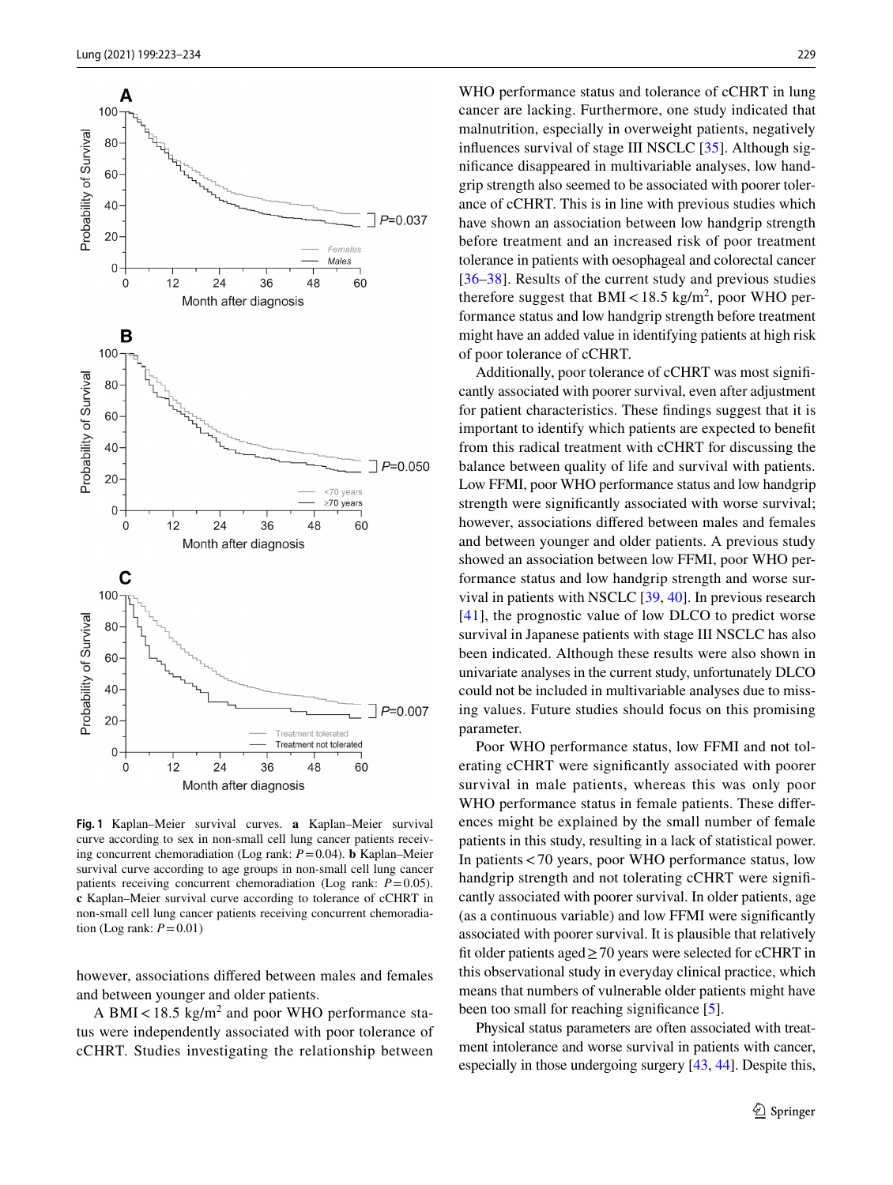

<span id="page-7-0"></span>**Fig. 1** Kaplan–Meier survival curves. **a** Kaplan–Meier survival curve according to sex in non-small cell lung cancer patients receiving concurrent chemoradiation (Log rank:  $P = 0.04$ ). **b** Kaplan–Meier survival curve according to age groups in non-small cell lung cancer patients receiving concurrent chemoradiation (Log rank: *P*=0.05). **c** Kaplan–Meier survival curve according to tolerance of cCHRT in non-small cell lung cancer patients receiving concurrent chemoradiation (Log rank:  $P = 0.01$ )

however, associations difered between males and females and between younger and older patients.

A BMI  $<$  18.5 kg/m<sup>2</sup> and poor WHO performance status were independently associated with poor tolerance of cCHRT. Studies investigating the relationship between

WHO performance status and tolerance of cCHRT in lung cancer are lacking. Furthermore, one study indicated that malnutrition, especially in overweight patients, negatively infuences survival of stage III NSCLC [[35\]](#page-11-19). Although signifcance disappeared in multivariable analyses, low handgrip strength also seemed to be associated with poorer tolerance of cCHRT. This is in line with previous studies which have shown an association between low handgrip strength before treatment and an increased risk of poor treatment tolerance in patients with oesophageal and colorectal cancer [[36–](#page-11-20)[38](#page-11-21)]. Results of the current study and previous studies therefore suggest that  $BMI < 18.5$  kg/m<sup>2</sup>, poor WHO performance status and low handgrip strength before treatment might have an added value in identifying patients at high risk of poor tolerance of cCHRT.

Additionally, poor tolerance of cCHRT was most signifcantly associated with poorer survival, even after adjustment for patient characteristics. These fndings suggest that it is important to identify which patients are expected to beneft from this radical treatment with cCHRT for discussing the balance between quality of life and survival with patients. Low FFMI, poor WHO performance status and low handgrip strength were signifcantly associated with worse survival; however, associations difered between males and females and between younger and older patients. A previous study showed an association between low FFMI, poor WHO performance status and low handgrip strength and worse survival in patients with NSCLC [\[39](#page-12-0), [40](#page-12-1)]. In previous research [[41\]](#page-12-2), the prognostic value of low DLCO to predict worse survival in Japanese patients with stage III NSCLC has also been indicated. Although these results were also shown in univariate analyses in the current study, unfortunately DLCO could not be included in multivariable analyses due to missing values. Future studies should focus on this promising parameter.

Poor WHO performance status, low FFMI and not tolerating cCHRT were signifcantly associated with poorer survival in male patients, whereas this was only poor WHO performance status in female patients. These diferences might be explained by the small number of female patients in this study, resulting in a lack of statistical power. In patients<70 years, poor WHO performance status, low handgrip strength and not tolerating cCHRT were significantly associated with poorer survival. In older patients, age (as a continuous variable) and low FFMI were signifcantly associated with poorer survival. It is plausible that relatively ft older patients aged≥70 years were selected for cCHRT in this observational study in everyday clinical practice, which means that numbers of vulnerable older patients might have been too small for reaching significance [\[5\]](#page-10-4).

Physical status parameters are often associated with treatment intolerance and worse survival in patients with cancer, especially in those undergoing surgery [[43](#page-12-3), [44](#page-12-4)]. Despite this,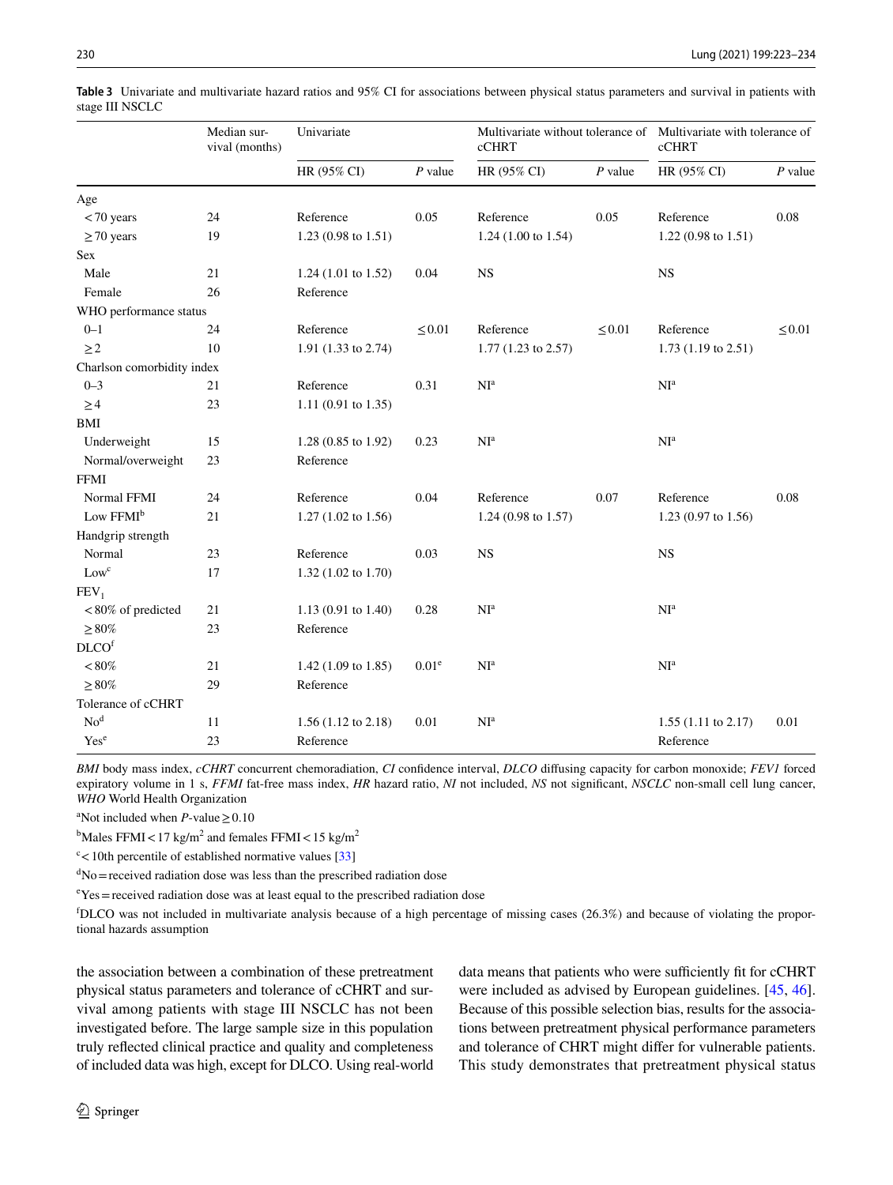|                               | Median sur-<br>vival (months) | Univariate                     |                   | cCHRT                             |             | Multivariate without tolerance of Multivariate with tolerance of<br>cCHRT |             |
|-------------------------------|-------------------------------|--------------------------------|-------------------|-----------------------------------|-------------|---------------------------------------------------------------------------|-------------|
|                               |                               | HR (95% CI)                    | $P$ value         | HR (95% CI)                       | $P$ value   | HR (95% CI)                                                               | $P$ value   |
| Age                           |                               |                                |                   |                                   |             |                                                                           |             |
| $<$ 70 years                  | 24                            | Reference                      | 0.05              | Reference                         | 0.05        | Reference                                                                 | 0.08        |
| $\geq$ 70 years               | 19                            | 1.23 (0.98 to 1.51)            |                   | 1.24 $(1.00 \text{ to } 1.54)$    |             | 1.22 (0.98 to 1.51)                                                       |             |
| Sex                           |                               |                                |                   |                                   |             |                                                                           |             |
| Male                          | 21                            | 1.24 (1.01 to 1.52)            | 0.04              | $_{\rm NS}$                       |             | $_{\rm NS}$                                                               |             |
| Female                        | 26                            | Reference                      |                   |                                   |             |                                                                           |             |
| WHO performance status        |                               |                                |                   |                                   |             |                                                                           |             |
| $0 - 1$                       | 24                            | Reference                      | $\leq 0.01$       | Reference                         | $\leq 0.01$ | Reference                                                                 | $\leq 0.01$ |
| $\geq$ 2                      | 10                            | 1.91 (1.33 to 2.74)            |                   | 1.77 (1.23 to 2.57)               |             | 1.73 (1.19 to 2.51)                                                       |             |
| Charlson comorbidity index    |                               |                                |                   |                                   |             |                                                                           |             |
| $0 - 3$                       | 21                            | Reference                      | 0.31              | $\mathbf{N}\mathbf{I}^{\text{a}}$ |             | $\mathbf{N}\mathbf{I}^{\text{a}}$                                         |             |
| $\geq 4$                      | 23                            | 1.11 $(0.91 \text{ to } 1.35)$ |                   |                                   |             |                                                                           |             |
| BMI                           |                               |                                |                   |                                   |             |                                                                           |             |
| Underweight                   | 15                            | 1.28 (0.85 to 1.92)            | 0.23              | $NI^a$                            |             | NI <sup>a</sup>                                                           |             |
| Normal/overweight             | 23                            | Reference                      |                   |                                   |             |                                                                           |             |
| <b>FFMI</b>                   |                               |                                |                   |                                   |             |                                                                           |             |
| Normal FFMI                   | 24                            | Reference                      | 0.04              | Reference                         | 0.07        | Reference                                                                 | 0.08        |
| Low FFMI <sup>b</sup>         | 21                            | $1.27(1.02 \text{ to } 1.56)$  |                   | 1.24 (0.98 to 1.57)               |             | 1.23 (0.97 to 1.56)                                                       |             |
| Handgrip strength             |                               |                                |                   |                                   |             |                                                                           |             |
| Normal                        | 23                            | Reference                      | 0.03              | $_{\rm NS}$                       |             | $_{\rm NS}$                                                               |             |
| $Low^c$                       | 17                            | 1.32 (1.02 to 1.70)            |                   |                                   |             |                                                                           |             |
| FEV <sub>1</sub>              |                               |                                |                   |                                   |             |                                                                           |             |
| $< 80\%$ of predicted         | 21                            | $1.13(0.91 \text{ to } 1.40)$  | 0.28              | $\mathbf{NI}^{\text{a}}$          |             | $\mathbf{NI}^{\text{a}}$                                                  |             |
| $\geq\!80\%$                  | 23                            | Reference                      |                   |                                   |             |                                                                           |             |
| D <sub>LCO</sub> <sup>f</sup> |                               |                                |                   |                                   |             |                                                                           |             |
| $<\!80\%$                     | 21                            | 1.42 $(1.09 \text{ to } 1.85)$ | 0.01 <sup>e</sup> | $\mathbf{N}\mathbf{I}^{\text{a}}$ |             | $\mathbf{N}\mathbf{I}^{\text{a}}$                                         |             |
| $\geq\!80\%$                  | 29                            | Reference                      |                   |                                   |             |                                                                           |             |
| Tolerance of cCHRT            |                               |                                |                   |                                   |             |                                                                           |             |
| No <sup>d</sup>               | 11                            | $1.56(1.12 \text{ to } 2.18)$  | 0.01              | $NI^a$                            |             | $1.55$ (1.11 to 2.17)                                                     | 0.01        |
| Yes <sup>e</sup>              | 23                            | Reference                      |                   |                                   |             | Reference                                                                 |             |

<span id="page-8-0"></span>**Table 3** Univariate and multivariate hazard ratios and 95% CI for associations between physical status parameters and survival in patients with stage III NSCLC

*BMI* body mass index, *cCHRT* concurrent chemoradiation, *CI* confdence interval, *DLCO* difusing capacity for carbon monoxide; *FEV1* forced expiratory volume in 1 s, *FFMI* fat-free mass index, *HR* hazard ratio, *NI* not included, *NS* not signifcant, *NSCLC* non-small cell lung cancer, *WHO* World Health Organization

<sup>a</sup>Not included when *P*-value  $\geq$  0.10

<sup>b</sup>Males FFMI < 17 kg/m<sup>2</sup> and females FFMI < 15 kg/m<sup>2</sup>

 $c$  < 10th percentile of established normative values [\[33\]](#page-11-17)

 $\text{d}$ No = received radiation dose was less than the prescribed radiation dose

<sup>e</sup>Yes = received radiation dose was at least equal to the prescribed radiation dose

f DLCO was not included in multivariate analysis because of a high percentage of missing cases (26.3%) and because of violating the proportional hazards assumption

the association between a combination of these pretreatment physical status parameters and tolerance of cCHRT and survival among patients with stage III NSCLC has not been investigated before. The large sample size in this population truly refected clinical practice and quality and completeness of included data was high, except for DLCO. Using real-world data means that patients who were sufficiently fit for cCHRT were included as advised by European guidelines. [\[45](#page-12-5), [46](#page-12-6)]. Because of this possible selection bias, results for the associations between pretreatment physical performance parameters and tolerance of CHRT might difer for vulnerable patients. This study demonstrates that pretreatment physical status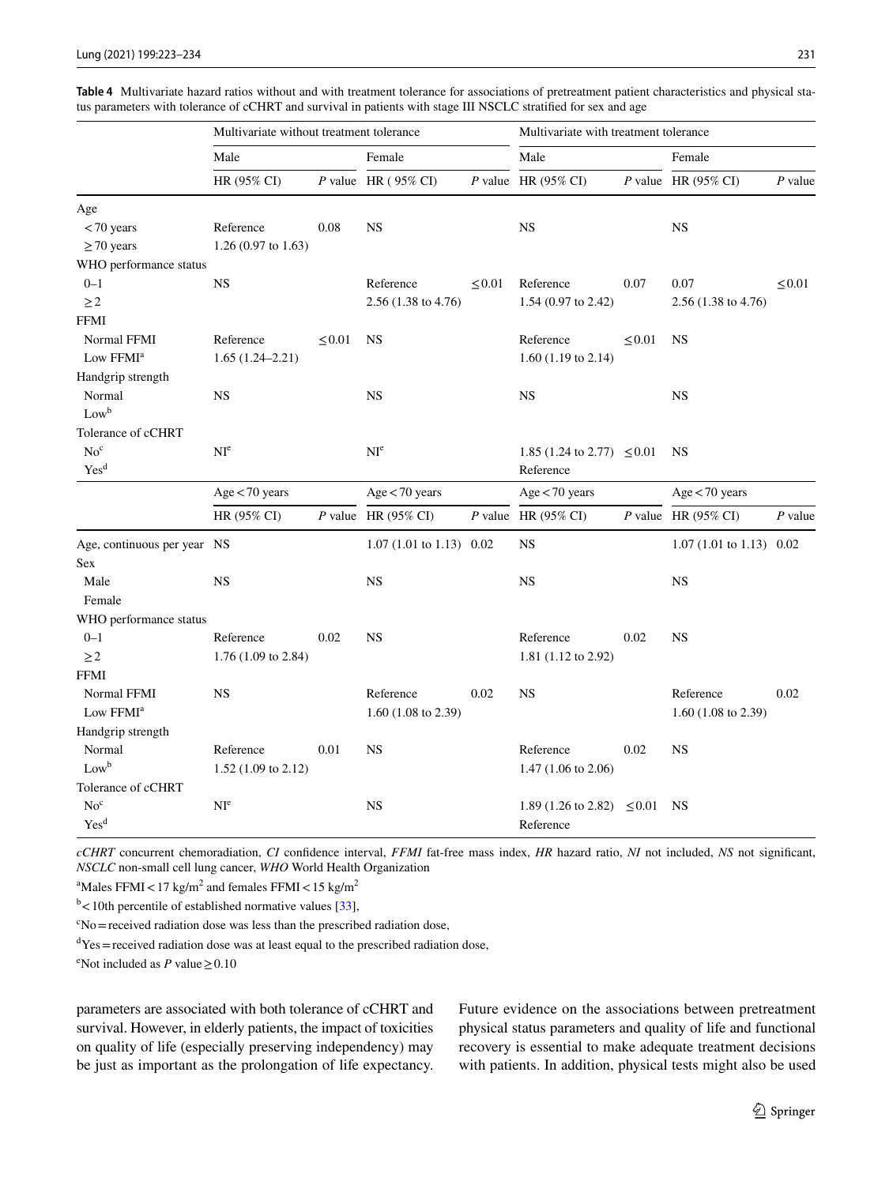<span id="page-9-0"></span>**Table 4** Multivariate hazard ratios without and with treatment tolerance for associations of pretreatment patient characteristics and physical status parameters with tolerance of cCHRT and survival in patients with stage III NSCLC stratified for sex and age

|                             | Multivariate without treatment tolerance |             |                                | Multivariate with treatment tolerance |                                          |             |                                |             |
|-----------------------------|------------------------------------------|-------------|--------------------------------|---------------------------------------|------------------------------------------|-------------|--------------------------------|-------------|
|                             | Male                                     |             | Female                         |                                       | Male                                     |             | Female                         |             |
|                             | HR (95% CI)                              |             | $P$ value HR (95% CI)          |                                       | $P$ value HR (95% CI)                    |             | $P$ value HR (95% CI)          | $P$ value   |
| Age                         |                                          |             |                                |                                       |                                          |             |                                |             |
| $<$ 70 years                | Reference                                | 0.08        | <b>NS</b>                      |                                       | <b>NS</b>                                |             | <b>NS</b>                      |             |
| $\geq$ 70 years             | 1.26 (0.97 to 1.63)                      |             |                                |                                       |                                          |             |                                |             |
| WHO performance status      |                                          |             |                                |                                       |                                          |             |                                |             |
| $0 - 1$                     | $_{\rm NS}$                              |             | Reference                      | $\leq 0.01$                           | Reference                                | 0.07        | 0.07                           | $\leq 0.01$ |
| $\geq$ 2                    |                                          |             | 2.56 (1.38 to 4.76)            |                                       | 1.54 (0.97 to 2.42)                      |             | 2.56 (1.38 to 4.76)            |             |
| <b>FFMI</b>                 |                                          |             |                                |                                       |                                          |             |                                |             |
| Normal FFMI                 | Reference                                | $\leq 0.01$ | <b>NS</b>                      |                                       | Reference                                | $\leq 0.01$ | <b>NS</b>                      |             |
| Low FFMI <sup>a</sup>       | $1.65(1.24 - 2.21)$                      |             |                                |                                       | 1.60 $(1.19 \text{ to } 2.14)$           |             |                                |             |
| Handgrip strength           |                                          |             |                                |                                       |                                          |             |                                |             |
| Normal                      | $_{\rm NS}$                              |             | $_{\rm NS}$                    |                                       | $_{\rm NS}$                              |             | $_{\rm NS}$                    |             |
| $Low^b$                     |                                          |             |                                |                                       |                                          |             |                                |             |
| Tolerance of cCHRT          |                                          |             |                                |                                       |                                          |             |                                |             |
| No <sup>c</sup>             | NI <sup>e</sup>                          |             | NI <sup>e</sup>                |                                       | 1.85 $(1.24 \text{ to } 2.77) \leq 0.01$ |             | <b>NS</b>                      |             |
| Yes <sup>d</sup>            |                                          |             |                                |                                       | Reference                                |             |                                |             |
|                             | Age < 70 years                           |             | Age < 70 years                 |                                       | Age < 70 years                           |             | Age < 70 years                 |             |
|                             | HR (95% CI)                              |             | P value HR $(95\% \text{ CI})$ | $P$ value                             | HR (95% CI)                              |             | P value HR $(95\% \text{ CI})$ | P value     |
| Age, continuous per year NS |                                          |             | 1.07 (1.01 to 1.13) 0.02       |                                       | <b>NS</b>                                |             | 1.07 (1.01 to 1.13) 0.02       |             |
| Sex                         |                                          |             |                                |                                       |                                          |             |                                |             |
| Male                        | <b>NS</b>                                |             | $_{\rm NS}$                    |                                       | $_{\rm NS}$                              |             | $_{\rm NS}$                    |             |
| Female                      |                                          |             |                                |                                       |                                          |             |                                |             |
| WHO performance status      |                                          |             |                                |                                       |                                          |             |                                |             |
| $0 - 1$                     | Reference                                | 0.02        | <b>NS</b>                      |                                       | Reference                                | 0.02        | <b>NS</b>                      |             |
| $\geq$ 2                    | 1.76 $(1.09 \text{ to } 2.84)$           |             |                                |                                       | 1.81 (1.12 to 2.92)                      |             |                                |             |
| <b>FFMI</b>                 |                                          |             |                                |                                       |                                          |             |                                |             |
| Normal FFMI                 | <b>NS</b>                                |             | Reference                      | 0.02                                  | <b>NS</b>                                |             | Reference                      | 0.02        |
| Low FFMI <sup>a</sup>       |                                          |             | 1.60 (1.08 to 2.39)            |                                       |                                          |             | 1.60 (1.08 to 2.39)            |             |
| Handgrip strength           |                                          |             |                                |                                       |                                          |             |                                |             |
| Normal                      | Reference                                | 0.01        | <b>NS</b>                      |                                       | Reference                                | 0.02        | <b>NS</b>                      |             |
| $Low^b$                     | 1.52 (1.09 to 2.12)                      |             |                                |                                       | 1.47 (1.06 to 2.06)                      |             |                                |             |
| Tolerance of cCHRT          |                                          |             |                                |                                       |                                          |             |                                |             |
| $No^c$                      | $\mathrm{NI}^{\mathrm{e}}$               |             | NS                             |                                       | 1.89 (1.26 to 2.82) $\leq$ 0.01          |             | NS                             |             |
| Yes <sup>d</sup>            |                                          |             |                                |                                       | Reference                                |             |                                |             |

*cCHRT* concurrent chemoradiation, *CI* confdence interval, *FFMI* fat-free mass index, *HR* hazard ratio, *NI* not included, *NS* not signifcant, *NSCLC* non-small cell lung cancer, *WHO* World Health Organization

<sup>a</sup>Males FFMI < 17 kg/m<sup>2</sup> and females FFMI < 15 kg/m<sup>2</sup>

 $b$  < 10th percentile of established normative values [\[33\]](#page-11-17),

 $\rm{^{c}No}$  = received radiation dose was less than the prescribed radiation dose,

 $d$ Yes = received radiation dose was at least equal to the prescribed radiation dose,

<sup>e</sup>Not included as *P* value  $\geq$  0.10

parameters are associated with both tolerance of cCHRT and survival. However, in elderly patients, the impact of toxicities on quality of life (especially preserving independency) may be just as important as the prolongation of life expectancy. Future evidence on the associations between pretreatment physical status parameters and quality of life and functional recovery is essential to make adequate treatment decisions with patients. In addition, physical tests might also be used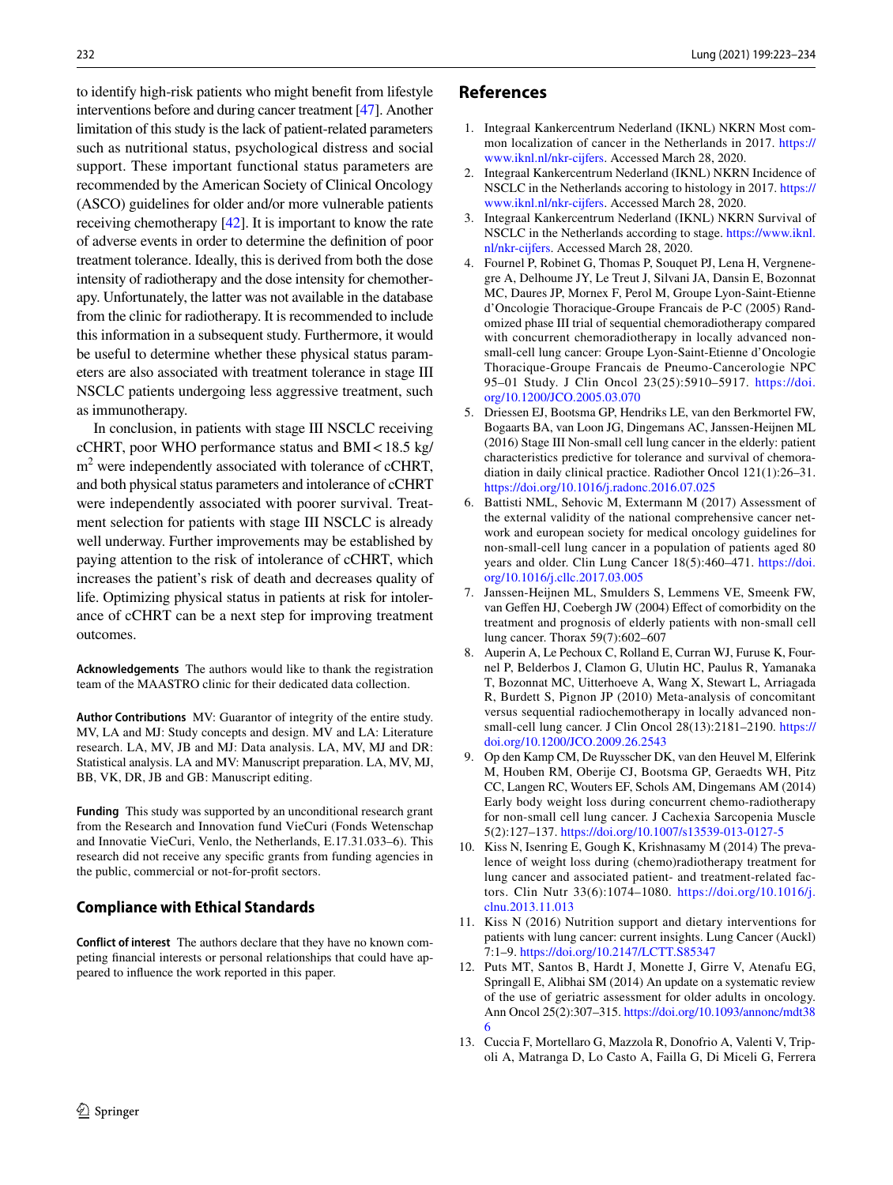to identify high-risk patients who might beneft from lifestyle interventions before and during cancer treatment [\[47\]](#page-12-7). Another limitation of this study is the lack of patient-related parameters such as nutritional status, psychological distress and social support. These important functional status parameters are recommended by the American Society of Clinical Oncology (ASCO) guidelines for older and/or more vulnerable patients receiving chemotherapy [[42](#page-12-8)]. It is important to know the rate of adverse events in order to determine the defnition of poor treatment tolerance. Ideally, this is derived from both the dose intensity of radiotherapy and the dose intensity for chemotherapy. Unfortunately, the latter was not available in the database from the clinic for radiotherapy. It is recommended to include this information in a subsequent study. Furthermore, it would be useful to determine whether these physical status parameters are also associated with treatment tolerance in stage III NSCLC patients undergoing less aggressive treatment, such as immunotherapy.

In conclusion, in patients with stage III NSCLC receiving cCHRT, poor WHO performance status and BMI<18.5 kg/  $m<sup>2</sup>$  were independently associated with tolerance of cCHRT, and both physical status parameters and intolerance of cCHRT were independently associated with poorer survival. Treatment selection for patients with stage III NSCLC is already well underway. Further improvements may be established by paying attention to the risk of intolerance of cCHRT, which increases the patient's risk of death and decreases quality of life. Optimizing physical status in patients at risk for intolerance of cCHRT can be a next step for improving treatment outcomes.

**Acknowledgements** The authors would like to thank the registration team of the MAASTRO clinic for their dedicated data collection.

**Author Contributions** MV: Guarantor of integrity of the entire study. MV, LA and MJ: Study concepts and design. MV and LA: Literature research. LA, MV, JB and MJ: Data analysis. LA, MV, MJ and DR: Statistical analysis. LA and MV: Manuscript preparation. LA, MV, MJ, BB, VK, DR, JB and GB: Manuscript editing.

**Funding** This study was supported by an unconditional research grant from the Research and Innovation fund VieCuri (Fonds Wetenschap and Innovatie VieCuri, Venlo, the Netherlands, E.17.31.033–6). This research did not receive any specifc grants from funding agencies in the public, commercial or not-for-proft sectors.

## **Compliance with Ethical Standards**

**Conflict of interest** The authors declare that they have no known competing fnancial interests or personal relationships that could have appeared to infuence the work reported in this paper.

## **References**

- <span id="page-10-0"></span>1. Integraal Kankercentrum Nederland (IKNL) NKRN Most common localization of cancer in the Netherlands in 2017. [https://](https://www.iknl.nl/nkr-cijfers) [www.iknl.nl/nkr-cijfers.](https://www.iknl.nl/nkr-cijfers) Accessed March 28, 2020.
- <span id="page-10-1"></span>2. Integraal Kankercentrum Nederland (IKNL) NKRN Incidence of NSCLC in the Netherlands accoring to histology in 2017. [https://](https://www.iknl.nl/nkr-cijfers) [www.iknl.nl/nkr-cijfers.](https://www.iknl.nl/nkr-cijfers) Accessed March 28, 2020.
- <span id="page-10-2"></span>3. Integraal Kankercentrum Nederland (IKNL) NKRN Survival of NSCLC in the Netherlands according to stage. [https://www.iknl.](https://www.iknl.nl/nkr-cijfers) [nl/nkr-cijfers](https://www.iknl.nl/nkr-cijfers). Accessed March 28, 2020.
- <span id="page-10-3"></span>4. Fournel P, Robinet G, Thomas P, Souquet PJ, Lena H, Vergnenegre A, Delhoume JY, Le Treut J, Silvani JA, Dansin E, Bozonnat MC, Daures JP, Mornex F, Perol M, Groupe Lyon-Saint-Etienne d'Oncologie Thoracique-Groupe Francais de P-C (2005) Randomized phase III trial of sequential chemoradiotherapy compared with concurrent chemoradiotherapy in locally advanced nonsmall-cell lung cancer: Groupe Lyon-Saint-Etienne d'Oncologie Thoracique-Groupe Francais de Pneumo-Cancerologie NPC 95–01 Study. J Clin Oncol 23(25):5910–5917. [https://doi.](https://doi.org/10.1200/JCO.2005.03.070) [org/10.1200/JCO.2005.03.070](https://doi.org/10.1200/JCO.2005.03.070)
- <span id="page-10-4"></span>5. Driessen EJ, Bootsma GP, Hendriks LE, van den Berkmortel FW, Bogaarts BA, van Loon JG, Dingemans AC, Janssen-Heijnen ML (2016) Stage III Non-small cell lung cancer in the elderly: patient characteristics predictive for tolerance and survival of chemoradiation in daily clinical practice. Radiother Oncol 121(1):26–31. <https://doi.org/10.1016/j.radonc.2016.07.025>
- <span id="page-10-9"></span>6. Battisti NML, Sehovic M, Extermann M (2017) Assessment of the external validity of the national comprehensive cancer network and european society for medical oncology guidelines for non-small-cell lung cancer in a population of patients aged 80 years and older. Clin Lung Cancer 18(5):460–471. [https://doi.](https://doi.org/10.1016/j.cllc.2017.03.005) [org/10.1016/j.cllc.2017.03.005](https://doi.org/10.1016/j.cllc.2017.03.005)
- <span id="page-10-10"></span>7. Janssen-Heijnen ML, Smulders S, Lemmens VE, Smeenk FW, van Gefen HJ, Coebergh JW (2004) Efect of comorbidity on the treatment and prognosis of elderly patients with non-small cell lung cancer. Thorax 59(7):602–607
- <span id="page-10-11"></span>8. Auperin A, Le Pechoux C, Rolland E, Curran WJ, Furuse K, Fournel P, Belderbos J, Clamon G, Ulutin HC, Paulus R, Yamanaka T, Bozonnat MC, Uitterhoeve A, Wang X, Stewart L, Arriagada R, Burdett S, Pignon JP (2010) Meta-analysis of concomitant versus sequential radiochemotherapy in locally advanced nonsmall-cell lung cancer. J Clin Oncol 28(13):2181–2190. [https://](https://doi.org/10.1200/JCO.2009.26.2543) [doi.org/10.1200/JCO.2009.26.2543](https://doi.org/10.1200/JCO.2009.26.2543)
- <span id="page-10-5"></span>9. Op den Kamp CM, De Ruysscher DK, van den Heuvel M, Elferink M, Houben RM, Oberije CJ, Bootsma GP, Geraedts WH, Pitz CC, Langen RC, Wouters EF, Schols AM, Dingemans AM (2014) Early body weight loss during concurrent chemo-radiotherapy for non-small cell lung cancer. J Cachexia Sarcopenia Muscle 5(2):127–137.<https://doi.org/10.1007/s13539-013-0127-5>
- 10. Kiss N, Isenring E, Gough K, Krishnasamy M (2014) The prevalence of weight loss during (chemo)radiotherapy treatment for lung cancer and associated patient- and treatment-related factors. Clin Nutr 33(6):1074–1080. [https://doi.org/10.1016/j.](https://doi.org/10.1016/j.clnu.2013.11.013) [clnu.2013.11.013](https://doi.org/10.1016/j.clnu.2013.11.013)
- <span id="page-10-6"></span>11. Kiss N (2016) Nutrition support and dietary interventions for patients with lung cancer: current insights. Lung Cancer (Auckl) 7:1–9.<https://doi.org/10.2147/LCTT.S85347>
- <span id="page-10-7"></span>12. Puts MT, Santos B, Hardt J, Monette J, Girre V, Atenafu EG, Springall E, Alibhai SM (2014) An update on a systematic review of the use of geriatric assessment for older adults in oncology. Ann Oncol 25(2):307–315. [https://doi.org/10.1093/annonc/mdt38](https://doi.org/10.1093/annonc/mdt386) [6](https://doi.org/10.1093/annonc/mdt386)
- <span id="page-10-8"></span>13. Cuccia F, Mortellaro G, Mazzola R, Donofrio A, Valenti V, Tripoli A, Matranga D, Lo Casto A, Failla G, Di Miceli G, Ferrera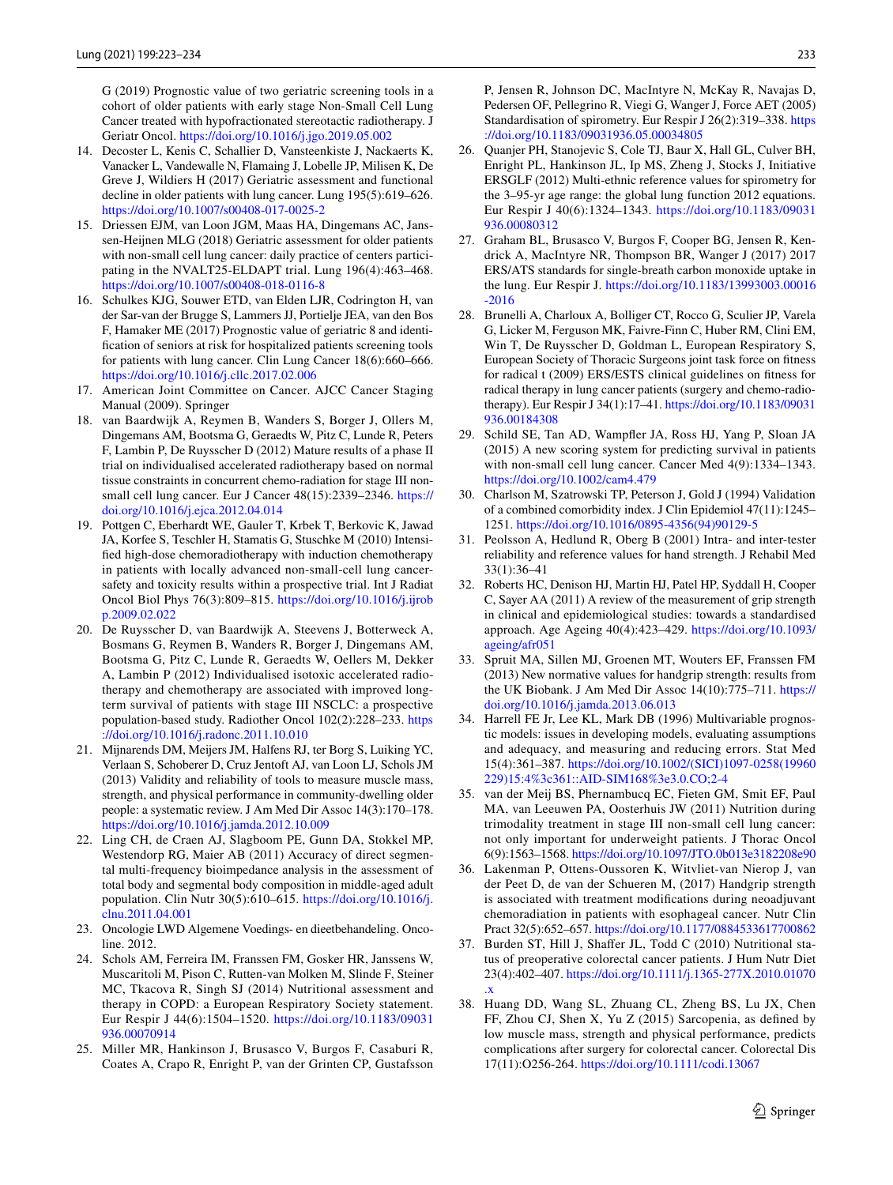G (2019) Prognostic value of two geriatric screening tools in a cohort of older patients with early stage Non-Small Cell Lung Cancer treated with hypofractionated stereotactic radiotherapy. J Geriatr Oncol. <https://doi.org/10.1016/j.jgo.2019.05.002>

- 14. Decoster L, Kenis C, Schallier D, Vansteenkiste J, Nackaerts K, Vanacker L, Vandewalle N, Flamaing J, Lobelle JP, Milisen K, De Greve J, Wildiers H (2017) Geriatric assessment and functional decline in older patients with lung cancer. Lung 195(5):619–626. <https://doi.org/10.1007/s00408-017-0025-2>
- 15. Driessen EJM, van Loon JGM, Maas HA, Dingemans AC, Janssen-Heijnen MLG (2018) Geriatric assessment for older patients with non-small cell lung cancer: daily practice of centers participating in the NVALT25-ELDAPT trial. Lung 196(4):463–468. <https://doi.org/10.1007/s00408-018-0116-8>
- <span id="page-11-0"></span>16. Schulkes KJG, Souwer ETD, van Elden LJR, Codrington H, van der Sar-van der Brugge S, Lammers JJ, Portielje JEA, van den Bos F, Hamaker ME (2017) Prognostic value of geriatric 8 and identifcation of seniors at risk for hospitalized patients screening tools for patients with lung cancer. Clin Lung Cancer 18(6):660–666. <https://doi.org/10.1016/j.cllc.2017.02.006>
- <span id="page-11-1"></span>17. American Joint Committee on Cancer. AJCC Cancer Staging Manual (2009). Springer
- <span id="page-11-2"></span>18. van Baardwijk A, Reymen B, Wanders S, Borger J, Ollers M, Dingemans AM, Bootsma G, Geraedts W, Pitz C, Lunde R, Peters F, Lambin P, De Ruysscher D (2012) Mature results of a phase II trial on individualised accelerated radiotherapy based on normal tissue constraints in concurrent chemo-radiation for stage III nonsmall cell lung cancer. Eur J Cancer 48(15):2339–2346. [https://](https://doi.org/10.1016/j.ejca.2012.04.014) [doi.org/10.1016/j.ejca.2012.04.014](https://doi.org/10.1016/j.ejca.2012.04.014)
- <span id="page-11-3"></span>19. Pottgen C, Eberhardt WE, Gauler T, Krbek T, Berkovic K, Jawad JA, Korfee S, Teschler H, Stamatis G, Stuschke M (2010) Intensifed high-dose chemoradiotherapy with induction chemotherapy in patients with locally advanced non-small-cell lung cancersafety and toxicity results within a prospective trial. Int J Radiat Oncol Biol Phys 76(3):809–815. [https://doi.org/10.1016/j.ijrob](https://doi.org/10.1016/j.ijrobp.2009.02.022) [p.2009.02.022](https://doi.org/10.1016/j.ijrobp.2009.02.022)
- <span id="page-11-4"></span>20. De Ruysscher D, van Baardwijk A, Steevens J, Botterweck A, Bosmans G, Reymen B, Wanders R, Borger J, Dingemans AM, Bootsma G, Pitz C, Lunde R, Geraedts W, Oellers M, Dekker A, Lambin P (2012) Individualised isotoxic accelerated radiotherapy and chemotherapy are associated with improved longterm survival of patients with stage III NSCLC: a prospective population-based study. Radiother Oncol 102(2):228–233. [https](https://doi.org/10.1016/j.radonc.2011.10.010) [://doi.org/10.1016/j.radonc.2011.10.010](https://doi.org/10.1016/j.radonc.2011.10.010)
- <span id="page-11-5"></span>21. Mijnarends DM, Meijers JM, Halfens RJ, ter Borg S, Luiking YC, Verlaan S, Schoberer D, Cruz Jentoft AJ, van Loon LJ, Schols JM (2013) Validity and reliability of tools to measure muscle mass, strength, and physical performance in community-dwelling older people: a systematic review. J Am Med Dir Assoc 14(3):170–178. <https://doi.org/10.1016/j.jamda.2012.10.009>
- <span id="page-11-6"></span>22. Ling CH, de Craen AJ, Slagboom PE, Gunn DA, Stokkel MP, Westendorp RG, Maier AB (2011) Accuracy of direct segmental multi-frequency bioimpedance analysis in the assessment of total body and segmental body composition in middle-aged adult population. Clin Nutr 30(5):610–615. [https://doi.org/10.1016/j.](https://doi.org/10.1016/j.clnu.2011.04.001) [clnu.2011.04.001](https://doi.org/10.1016/j.clnu.2011.04.001)
- <span id="page-11-7"></span>23. Oncologie LWD Algemene Voedings- en dieetbehandeling. Oncoline. 2012.
- <span id="page-11-8"></span>24. Schols AM, Ferreira IM, Franssen FM, Gosker HR, Janssens W, Muscaritoli M, Pison C, Rutten-van Molken M, Slinde F, Steiner MC, Tkacova R, Singh SJ (2014) Nutritional assessment and therapy in COPD: a European Respiratory Society statement. Eur Respir J 44(6):1504–1520. [https://doi.org/10.1183/09031](https://doi.org/10.1183/09031936.00070914) [936.00070914](https://doi.org/10.1183/09031936.00070914)
- <span id="page-11-9"></span>25. Miller MR, Hankinson J, Brusasco V, Burgos F, Casaburi R, Coates A, Crapo R, Enright P, van der Grinten CP, Gustafsson

P, Jensen R, Johnson DC, MacIntyre N, McKay R, Navajas D, Pedersen OF, Pellegrino R, Viegi G, Wanger J, Force AET (2005) Standardisation of spirometry. Eur Respir J 26(2):319–338. [https](https://doi.org/10.1183/09031936.05.00034805) [://doi.org/10.1183/09031936.05.00034805](https://doi.org/10.1183/09031936.05.00034805)

- <span id="page-11-10"></span>26. Quanjer PH, Stanojevic S, Cole TJ, Baur X, Hall GL, Culver BH, Enright PL, Hankinson JL, Ip MS, Zheng J, Stocks J, Initiative ERSGLF (2012) Multi-ethnic reference values for spirometry for the 3–95-yr age range: the global lung function 2012 equations. Eur Respir J 40(6):1324–1343. [https://doi.org/10.1183/09031](https://doi.org/10.1183/09031936.00080312) [936.00080312](https://doi.org/10.1183/09031936.00080312)
- <span id="page-11-11"></span>27. Graham BL, Brusasco V, Burgos F, Cooper BG, Jensen R, Kendrick A, MacIntyre NR, Thompson BR, Wanger J (2017) 2017 ERS/ATS standards for single-breath carbon monoxide uptake in the lung. Eur Respir J. [https://doi.org/10.1183/13993003.00016](https://doi.org/10.1183/13993003.00016-2016) [-2016](https://doi.org/10.1183/13993003.00016-2016)
- <span id="page-11-12"></span>28. Brunelli A, Charloux A, Bolliger CT, Rocco G, Sculier JP, Varela G, Licker M, Ferguson MK, Faivre-Finn C, Huber RM, Clini EM, Win T, De Ruysscher D, Goldman L, European Respiratory S, European Society of Thoracic Surgeons joint task force on ftness for radical t (2009) ERS/ESTS clinical guidelines on ftness for radical therapy in lung cancer patients (surgery and chemo-radiotherapy). Eur Respir J 34(1):17–41. [https://doi.org/10.1183/09031](https://doi.org/10.1183/09031936.00184308) [936.00184308](https://doi.org/10.1183/09031936.00184308)
- <span id="page-11-13"></span>29. Schild SE, Tan AD, Wampfer JA, Ross HJ, Yang P, Sloan JA (2015) A new scoring system for predicting survival in patients with non-small cell lung cancer. Cancer Med 4(9):1334–1343. <https://doi.org/10.1002/cam4.479>
- <span id="page-11-14"></span>30. Charlson M, Szatrowski TP, Peterson J, Gold J (1994) Validation of a combined comorbidity index. J Clin Epidemiol 47(11):1245– 1251. [https://doi.org/10.1016/0895-4356\(94\)90129-5](https://doi.org/10.1016/0895-4356(94)90129-5)
- <span id="page-11-15"></span>31. Peolsson A, Hedlund R, Oberg B (2001) Intra- and inter-tester reliability and reference values for hand strength. J Rehabil Med 33(1):36–41
- <span id="page-11-16"></span>32. Roberts HC, Denison HJ, Martin HJ, Patel HP, Syddall H, Cooper C, Sayer AA (2011) A review of the measurement of grip strength in clinical and epidemiological studies: towards a standardised approach. Age Ageing 40(4):423–429. [https://doi.org/10.1093/](https://doi.org/10.1093/ageing/afr051) [ageing/afr051](https://doi.org/10.1093/ageing/afr051)
- <span id="page-11-17"></span>33. Spruit MA, Sillen MJ, Groenen MT, Wouters EF, Franssen FM (2013) New normative values for handgrip strength: results from the UK Biobank. J Am Med Dir Assoc 14(10):775–711. [https://](https://doi.org/10.1016/j.jamda.2013.06.013) [doi.org/10.1016/j.jamda.2013.06.013](https://doi.org/10.1016/j.jamda.2013.06.013)
- <span id="page-11-18"></span>34. Harrell FE Jr, Lee KL, Mark DB (1996) Multivariable prognostic models: issues in developing models, evaluating assumptions and adequacy, and measuring and reducing errors. Stat Med 15(4):361–387. [https://doi.org/10.1002/\(SICI\)1097-0258\(19960](https://doi.org/10.1002/(SICI)1097-0258(19960229)15:4%3c361::AID-SIM168%3e3.0.CO;2-4) [229\)15:4%3c361::AID-SIM168%3e3.0.CO;2-4](https://doi.org/10.1002/(SICI)1097-0258(19960229)15:4%3c361::AID-SIM168%3e3.0.CO;2-4)
- <span id="page-11-19"></span>35. van der Meij BS, Phernambucq EC, Fieten GM, Smit EF, Paul MA, van Leeuwen PA, Oosterhuis JW (2011) Nutrition during trimodality treatment in stage III non-small cell lung cancer: not only important for underweight patients. J Thorac Oncol 6(9):1563–1568. <https://doi.org/10.1097/JTO.0b013e3182208e90>
- <span id="page-11-20"></span>36. Lakenman P, Ottens-Oussoren K, Witvliet-van Nierop J, van der Peet D, de van der Schueren M, (2017) Handgrip strength is associated with treatment modifcations during neoadjuvant chemoradiation in patients with esophageal cancer. Nutr Clin Pract 32(5):652–657.<https://doi.org/10.1177/0884533617700862>
- 37. Burden ST, Hill J, Shafer JL, Todd C (2010) Nutritional status of preoperative colorectal cancer patients. J Hum Nutr Diet 23(4):402–407. [https://doi.org/10.1111/j.1365-277X.2010.01070](https://doi.org/10.1111/j.1365-277X.2010.01070.x) [.x](https://doi.org/10.1111/j.1365-277X.2010.01070.x)
- <span id="page-11-21"></span>38. Huang DD, Wang SL, Zhuang CL, Zheng BS, Lu JX, Chen FF, Zhou CJ, Shen X, Yu Z (2015) Sarcopenia, as defned by low muscle mass, strength and physical performance, predicts complications after surgery for colorectal cancer. Colorectal Dis 17(11):O256-264. <https://doi.org/10.1111/codi.13067>